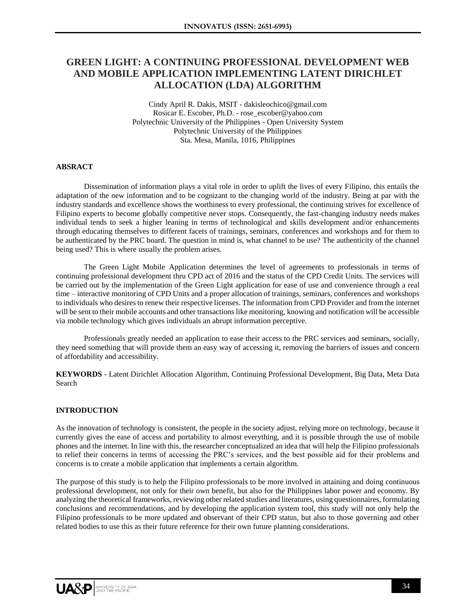# **GREEN LIGHT: A CONTINUING PROFESSIONAL DEVELOPMENT WEB AND MOBILE APPLICATION IMPLEMENTING LATENT DIRICHLET ALLOCATION (LDA) ALGORITHM**

Cindy April R. Dakis, MSIT - dakisleochico@gmail.com Rosicar E. Escober, Ph.D. - rose\_escober@yahoo.com Polytechnic University of the Philippines - Open University System Polytechnic University of the Philippines Sta. Mesa, Manila, 1016, Philippines

## **ABSRACT**

Dissemination of information plays a vital role in order to uplift the lives of every Filipino, this entails the adaptation of the new information and to be cognizant to the changing world of the industry. Being at par with the industry standards and excellence shows the worthiness to every professional, the continuing strives for excellence of Filipino experts to become globally competitive never stops. Consequently, the fast-changing industry needs makes individual tends to seek a higher leaning in terms of technological and skills development and/or enhancements through educating themselves to different facets of trainings, seminars, conferences and workshops and for them to be authenticated by the PRC board. The question in mind is, what channel to be use? The authenticity of the channel being used? This is where usually the problem arises.

The Green Light Mobile Application determines the level of agreements to professionals in terms of continuing professional development thru CPD act of 2016 and the status of the CPD Credit Units. The services will be carried out by the implementation of the Green Light application for ease of use and convenience through a real time – interactive monitoring of CPD Units and a proper allocation of trainings, seminars, conferences and workshops to individuals who desires to renew their respective licenses. The information from CPD Provider and from the internet will be sent to their mobile accounts and other transactions like monitoring, knowing and notification will be accessible via mobile technology which gives individuals an abrupt information perceptive.

Professionals greatly needed an application to ease their access to the PRC services and seminars, socially, they need something that will provide them an easy way of accessing it, removing the barriers of issues and concern of affordability and accessibility.

**KEYWORDS** - Latent Dirichlet Allocation Algorithm, Continuing Professional Development, Big Data, Meta Data Search

#### **INTRODUCTION**

As the innovation of technology is consistent, the people in the society adjust, relying more on technology, because it currently gives the ease of access and portability to almost everything, and it is possible through the use of mobile phones and the internet. In line with this, the researcher conceptualized an idea that will help the Filipino professionals to relief their concerns in terms of accessing the PRC's services, and the best possible aid for their problems and concerns is to create a mobile application that implements a certain algorithm.

The purpose of this study is to help the Filipino professionals to be more involved in attaining and doing continuous professional development, not only for their own benefit, but also for the Philippines labor power and economy. By analyzing the theoretical frameworks, reviewing other related studies and literatures, using questionnaires, formulating conclusions and recommendations, and by developing the application system tool, this study will not only help the Filipino professionals to be more updated and observant of their CPD status, but also to those governing and other related bodies to use this as their future reference for their own future planning considerations.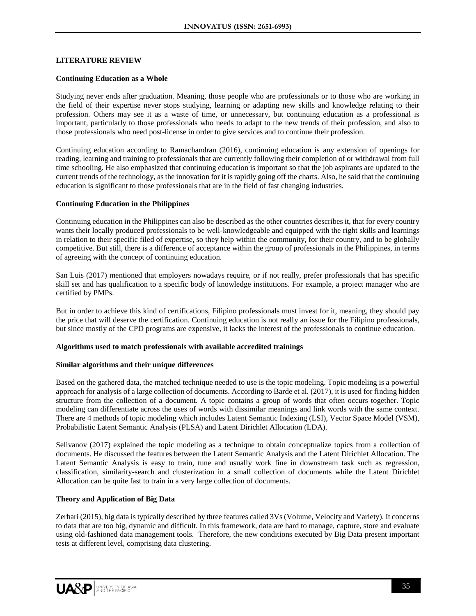## **LITERATURE REVIEW**

## **Continuing Education as a Whole**

Studying never ends after graduation. Meaning, those people who are professionals or to those who are working in the field of their expertise never stops studying, learning or adapting new skills and knowledge relating to their profession. Others may see it as a waste of time, or unnecessary, but continuing education as a professional is important, particularly to those professionals who needs to adapt to the new trends of their profession, and also to those professionals who need post-license in order to give services and to continue their profession.

Continuing education according to Ramachandran (2016), continuing education is any extension of openings for reading, learning and training to professionals that are currently following their completion of or withdrawal from full time schooling. He also emphasized that continuing education is important so that the job aspirants are updated to the current trends of the technology, as the innovation for it is rapidly going off the charts. Also, he said that the continuing education is significant to those professionals that are in the field of fast changing industries.

## **Continuing Education in the Philippines**

Continuing education in the Philippines can also be described as the other countries describes it, that for every country wants their locally produced professionals to be well-knowledgeable and equipped with the right skills and learnings in relation to their specific filed of expertise, so they help within the community, for their country, and to be globally competitive. But still, there is a difference of acceptance within the group of professionals in the Philippines, in terms of agreeing with the concept of continuing education.

San Luis (2017) mentioned that employers nowadays require, or if not really, prefer professionals that has specific skill set and has qualification to a specific body of knowledge institutions. For example, a project manager who are certified by PMPs.

But in order to achieve this kind of certifications, Filipino professionals must invest for it, meaning, they should pay the price that will deserve the certification. Continuing education is not really an issue for the Filipino professionals, but since mostly of the CPD programs are expensive, it lacks the interest of the professionals to continue education.

## **Algorithms used to match professionals with available accredited trainings**

#### **Similar algorithms and their unique differences**

Based on the gathered data, the matched technique needed to use is the topic modeling. Topic modeling is a powerful approach for analysis of a large collection of documents. According to Barde et al. (2017), it is used for finding hidden structure from the collection of a document. A topic contains a group of words that often occurs together. Topic modeling can differentiate across the uses of words with dissimilar meanings and link words with the same context. There are 4 methods of topic modeling which includes Latent Semantic Indexing (LSI), Vector Space Model (VSM), Probabilistic Latent Semantic Analysis (PLSA) and Latent Dirichlet Allocation (LDA).

Selivanov (2017) explained the topic modeling as a technique to obtain conceptualize topics from a collection of documents. He discussed the features between the Latent Semantic Analysis and the Latent Dirichlet Allocation. The Latent Semantic Analysis is easy to train, tune and usually work fine in downstream task such as regression, classification, similarity-search and clusterization in a small collection of documents while the Latent Dirichlet Allocation can be quite fast to train in a very large collection of documents.

## **Theory and Application of Big Data**

Zerhari (2015), big data is typically described by three features called 3Vs (Volume, Velocity and Variety). It concerns to data that are too big, dynamic and difficult. In this framework, data are hard to manage, capture, store and evaluate using old-fashioned data management tools. Therefore, the new conditions executed by Big Data present important tests at different level, comprising data clustering.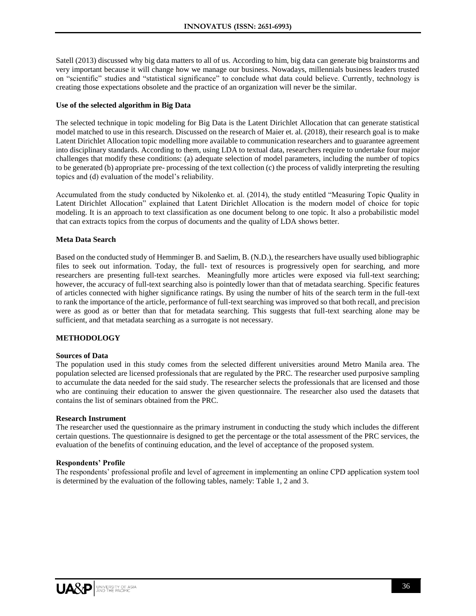Satell (2013) discussed why big data matters to all of us. According to him, big data can generate big brainstorms and very important because it will change how we manage our business. Nowadays, millennials business leaders trusted on "scientific" studies and "statistical significance" to conclude what data could believe. Currently, technology is creating those expectations obsolete and the practice of an organization will never be the similar.

## **Use of the selected algorithm in Big Data**

The selected technique in topic modeling for Big Data is the Latent Dirichlet Allocation that can generate statistical model matched to use in this research. Discussed on the research of Maier et. al. (2018), their research goal is to make Latent Dirichlet Allocation topic modelling more available to communication researchers and to guarantee agreement into disciplinary standards. According to them, using LDA to textual data, researchers require to undertake four major challenges that modify these conditions: (a) adequate selection of model parameters, including the number of topics to be generated (b) appropriate pre- processing of the text collection (c) the process of validly interpreting the resulting topics and (d) evaluation of the model's reliability.

Accumulated from the study conducted by Nikolenko et. al. (2014), the study entitled "Measuring Topic Quality in Latent Dirichlet Allocation" explained that Latent Dirichlet Allocation is the modern model of choice for topic modeling. It is an approach to text classification as one document belong to one topic. It also a probabilistic model that can extracts topics from the corpus of documents and the quality of LDA shows better.

## **Meta Data Search**

Based on the conducted study of Hemminger B. and Saelim, B. (N.D.), the researchers have usually used bibliographic files to seek out information. Today, the full- text of resources is progressively open for searching, and more researchers are presenting full-text searches. Meaningfully more articles were exposed via full-text searching; however, the accuracy of full-text searching also is pointedly lower than that of metadata searching. Specific features of articles connected with higher significance ratings. By using the number of hits of the search term in the full-text to rank the importance of the article, performance of full-text searching was improved so that both recall, and precision were as good as or better than that for metadata searching. This suggests that full-text searching alone may be sufficient, and that metadata searching as a surrogate is not necessary.

## **METHODOLOGY**

#### **Sources of Data**

The population used in this study comes from the selected different universities around Metro Manila area. The population selected are licensed professionals that are regulated by the PRC. The researcher used purposive sampling to accumulate the data needed for the said study. The researcher selects the professionals that are licensed and those who are continuing their education to answer the given questionnaire. The researcher also used the datasets that contains the list of seminars obtained from the PRC.

#### **Research Instrument**

The researcher used the questionnaire as the primary instrument in conducting the study which includes the different certain questions. The questionnaire is designed to get the percentage or the total assessment of the PRC services, the evaluation of the benefits of continuing education, and the level of acceptance of the proposed system.

#### **Respondents' Profile**

The respondents' professional profile and level of agreement in implementing an online CPD application system tool is determined by the evaluation of the following tables, namely: Table 1, 2 and 3.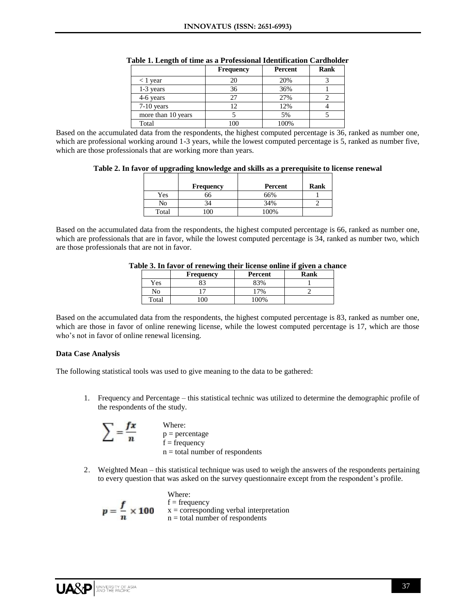|                    | <b>Frequency</b> | Percent | Rank |
|--------------------|------------------|---------|------|
| $<$ 1 year         | 20               | 20%     |      |
| 1-3 years          | 36               | 36%     |      |
| 4-6 years          | 27               | 27%     |      |
| $7-10$ years       | 12               | 12%     |      |
| more than 10 years |                  | 5%      |      |
| Total              | 100              | 100%    |      |

|  |  | Table 1. Length of time as a Professional Identification Cardholder |  |
|--|--|---------------------------------------------------------------------|--|
|  |  |                                                                     |  |

Based on the accumulated data from the respondents, the highest computed percentage is 36, ranked as number one, which are professional working around 1-3 years, while the lowest computed percentage is 5, ranked as number five, which are those professionals that are working more than years.

|  |  |  |  |  |  | Table 2. In favor of upgrading knowledge and skills as a prerequisite to license renewal |
|--|--|--|--|--|--|------------------------------------------------------------------------------------------|
|  |  |  |  |  |  |                                                                                          |

|       | <b>Frequency</b> | Percent | Rank |
|-------|------------------|---------|------|
| Yes   | 66               | 66%     |      |
| No    | 34               | 34%     |      |
| Total | 00               | 100%    |      |

Based on the accumulated data from the respondents, the highest computed percentage is 66, ranked as number one, which are professionals that are in favor, while the lowest computed percentage is 34, ranked as number two, which are those professionals that are not in favor.

|       | <b>Frequency</b> | Percent | Rank |
|-------|------------------|---------|------|
| Yes   |                  | 83%     |      |
| No    |                  | 7%      |      |
| Total | 90               | 100%    |      |

#### **Table 3. In favor of renewing their license online if given a chance**

Based on the accumulated data from the respondents, the highest computed percentage is 83, ranked as number one, which are those in favor of online renewing license, while the lowest computed percentage is 17, which are those who's not in favor of online renewal licensing.

#### **Data Case Analysis**

The following statistical tools was used to give meaning to the data to be gathered:

1. Frequency and Percentage – this statistical technic was utilized to determine the demographic profile of the respondents of the study.

$$
\sum = \frac{fx}{n}
$$
 Where:  
 p = percentage  
 f = frequency  
 n = total number of respondents

2. Weighted Mean – this statistical technique was used to weigh the answers of the respondents pertaining to every question that was asked on the survey questionnaire except from the respondent's profile.

$$
p=\frac{f}{n}\times 100
$$

Where:  $f = frequency$  $x =$  corresponding verbal interpretation  $n =$  total number of respondents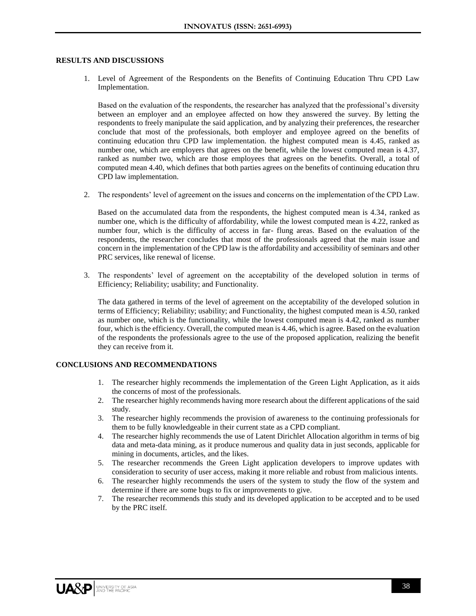#### **RESULTS AND DISCUSSIONS**

1. Level of Agreement of the Respondents on the Benefits of Continuing Education Thru CPD Law Implementation.

Based on the evaluation of the respondents, the researcher has analyzed that the professional's diversity between an employer and an employee affected on how they answered the survey. By letting the respondents to freely manipulate the said application, and by analyzing their preferences, the researcher conclude that most of the professionals, both employer and employee agreed on the benefits of continuing education thru CPD law implementation. the highest computed mean is 4.45, ranked as number one, which are employers that agrees on the benefit, while the lowest computed mean is 4.37, ranked as number two, which are those employees that agrees on the benefits. Overall, a total of computed mean 4.40, which defines that both parties agrees on the benefits of continuing education thru CPD law implementation.

2. The respondents' level of agreement on the issues and concerns on the implementation of the CPD Law.

Based on the accumulated data from the respondents, the highest computed mean is 4.34, ranked as number one, which is the difficulty of affordability, while the lowest computed mean is 4.22, ranked as number four, which is the difficulty of access in far- flung areas. Based on the evaluation of the respondents, the researcher concludes that most of the professionals agreed that the main issue and concern in the implementation of the CPD law is the affordability and accessibility of seminars and other PRC services, like renewal of license.

3. The respondents' level of agreement on the acceptability of the developed solution in terms of Efficiency; Reliability; usability; and Functionality.

The data gathered in terms of the level of agreement on the acceptability of the developed solution in terms of Efficiency; Reliability; usability; and Functionality, the highest computed mean is 4.50, ranked as number one, which is the functionality, while the lowest computed mean is 4.42, ranked as number four, which is the efficiency. Overall, the computed mean is 4.46, which is agree. Based on the evaluation of the respondents the professionals agree to the use of the proposed application, realizing the benefit they can receive from it.

## **CONCLUSIONS AND RECOMMENDATIONS**

- 1. The researcher highly recommends the implementation of the Green Light Application, as it aids the concerns of most of the professionals.
- 2. The researcher highly recommends having more research about the different applications of the said study.
- 3. The researcher highly recommends the provision of awareness to the continuing professionals for them to be fully knowledgeable in their current state as a CPD compliant.
- 4. The researcher highly recommends the use of Latent Dirichlet Allocation algorithm in terms of big data and meta-data mining, as it produce numerous and quality data in just seconds, applicable for mining in documents, articles, and the likes.
- 5. The researcher recommends the Green Light application developers to improve updates with consideration to security of user access, making it more reliable and robust from malicious intents.
- 6. The researcher highly recommends the users of the system to study the flow of the system and determine if there are some bugs to fix or improvements to give.
- 7. The researcher recommends this study and its developed application to be accepted and to be used by the PRC itself.